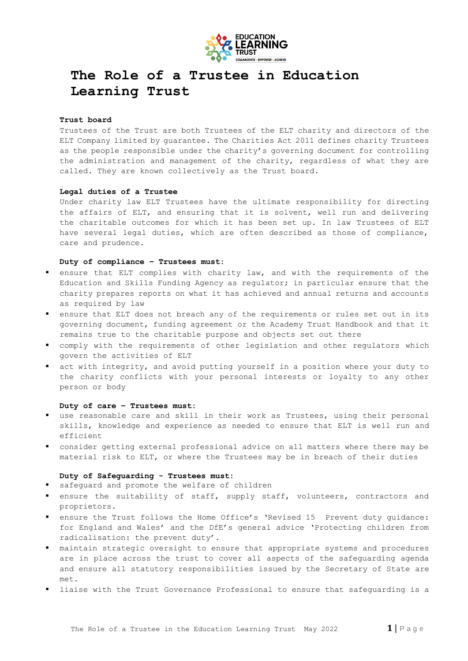

# **The Role of a Trustee in Education Learning Trust**

## **Trust board**

Trustees of the Trust are both Trustees of the ELT charity and directors of the ELT Company limited by guarantee. The Charities Act 2011 defines charity Trustees as the people responsible under the charity's governing document for controlling the administration and management of the charity, regardless of what they are called. They are known collectively as the Trust board.

#### **Legal duties of a Trustee**

Under charity law ELT Trustees have the ultimate responsibility for directing the affairs of ELT, and ensuring that it is solvent, well run and delivering the charitable outcomes for which it has been set up. In law Trustees of ELT have several legal duties, which are often described as those of compliance, care and prudence.

## **Duty of compliance – Trustees must:**

- ensure that ELT complies with charity law, and with the requirements of the Education and Skills Funding Agency as regulator; in particular ensure that the charity prepares reports on what it has achieved and annual returns and accounts as required by law
- ensure that ELT does not breach any of the requirements or rules set out in its governing document, funding agreement or the Academy Trust Handbook and that it remains true to the charitable purpose and objects set out there
- comply with the requirements of other legislation and other regulators which govern the activities of ELT
- act with integrity, and avoid putting yourself in a position where your duty to the charity conflicts with your personal interests or loyalty to any other person or body

## **Duty of care – Trustees must:**

- use reasonable care and skill in their work as Trustees, using their personal skills, knowledge and experience as needed to ensure that ELT is well run and efficient
- consider getting external professional advice on all matters where there may be material risk to ELT, or where the Trustees may be in breach of their duties

## **Duty of Safeguarding - Trustees must:**

- safeguard and promote the welfare of children
- ensure the suitability of staff, supply staff, volunteers, contractors and proprietors.
- ensure the Trust follows the Home Office's 'Revised 15 Prevent duty guidance: for England and Wales' and the DfE's general advice 'Protecting children from radicalisation: the prevent duty'.
- maintain strategic oversight to ensure that appropriate systems and procedures are in place across the trust to cover all aspects of the safeguarding agenda and ensure all statutory responsibilities issued by the Secretary of State are met.
- liaise with the Trust Governance Professional to ensure that safeguarding is a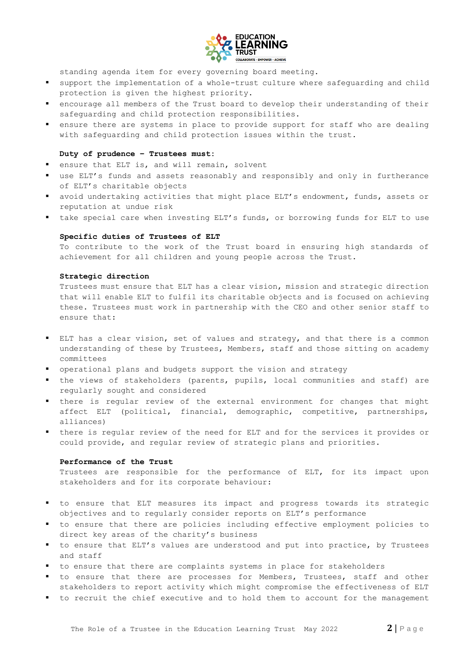

standing agenda item for every governing board meeting.

- support the implementation of a whole-trust culture where safeguarding and child protection is given the highest priority.
- encourage all members of the Trust board to develop their understanding of their safeguarding and child protection responsibilities.
- ensure there are systems in place to provide support for staff who are dealing with safeguarding and child protection issues within the trust.

## **Duty of prudence – Trustees must:**

- **e** ensure that ELT is, and will remain, solvent
- use ELT's funds and assets reasonably and responsibly and only in furtherance of ELT's charitable objects
- avoid undertaking activities that might place ELT's endowment, funds, assets or reputation at undue risk
- take special care when investing ELT's funds, or borrowing funds for ELT to use

## **Specific duties of Trustees of ELT**

To contribute to the work of the Trust board in ensuring high standards of achievement for all children and young people across the Trust.

## **Strategic direction**

Trustees must ensure that ELT has a clear vision, mission and strategic direction that will enable ELT to fulfil its charitable objects and is focused on achieving these. Trustees must work in partnership with the CEO and other senior staff to ensure that:

- ELT has a clear vision, set of values and strategy, and that there is a common understanding of these by Trustees, Members, staff and those sitting on academy committees
- operational plans and budgets support the vision and strategy
- the views of stakeholders (parents, pupils, local communities and staff) are regularly sought and considered
- there is regular review of the external environment for changes that might affect ELT (political, financial, demographic, competitive, partnerships, alliances)
- there is regular review of the need for ELT and for the services it provides or could provide, and regular review of strategic plans and priorities.

# **Performance of the Trust**

Trustees are responsible for the performance of ELT, for its impact upon stakeholders and for its corporate behaviour:

- to ensure that ELT measures its impact and progress towards its strategic objectives and to regularly consider reports on ELT's performance
- to ensure that there are policies including effective employment policies to direct key areas of the charity's business
- to ensure that ELT's values are understood and put into practice, by Trustees and staff
- to ensure that there are complaints systems in place for stakeholders
- to ensure that there are processes for Members, Trustees, staff and other stakeholders to report activity which might compromise the effectiveness of ELT
- to recruit the chief executive and to hold them to account for the management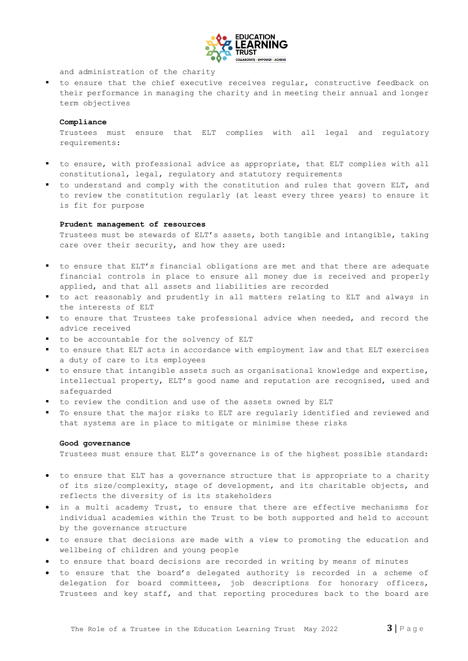

and administration of the charity

 to ensure that the chief executive receives regular, constructive feedback on their performance in managing the charity and in meeting their annual and longer term objectives

#### **Compliance**

Trustees must ensure that ELT complies with all legal and regulatory requirements:

- to ensure, with professional advice as appropriate, that ELT complies with all constitutional, legal, regulatory and statutory requirements
- to understand and comply with the constitution and rules that govern ELT, and to review the constitution regularly (at least every three years) to ensure it is fit for purpose

#### **Prudent management of resources**

Trustees must be stewards of ELT's assets, both tangible and intangible, taking care over their security, and how they are used:

- to ensure that ELT's financial obligations are met and that there are adequate financial controls in place to ensure all money due is received and properly applied, and that all assets and liabilities are recorded
- to act reasonably and prudently in all matters relating to ELT and always in the interests of ELT
- to ensure that Trustees take professional advice when needed, and record the advice received
- to be accountable for the solvency of ELT
- to ensure that ELT acts in accordance with employment law and that ELT exercises a duty of care to its employees
- to ensure that intangible assets such as organisational knowledge and expertise, intellectual property, ELT's good name and reputation are recognised, used and safeguarded
- to review the condition and use of the assets owned by ELT
- To ensure that the major risks to ELT are regularly identified and reviewed and that systems are in place to mitigate or minimise these risks

## **Good governance**

Trustees must ensure that ELT's governance is of the highest possible standard:

- to ensure that ELT has a governance structure that is appropriate to a charity of its size/complexity, stage of development, and its charitable objects, and reflects the diversity of is its stakeholders
- in a multi academy Trust, to ensure that there are effective mechanisms for individual academies within the Trust to be both supported and held to account by the governance structure
- to ensure that decisions are made with a view to promoting the education and wellbeing of children and young people
- to ensure that board decisions are recorded in writing by means of minutes
- to ensure that the board's delegated authority is recorded in a scheme of delegation for board committees, job descriptions for honorary officers, Trustees and key staff, and that reporting procedures back to the board are